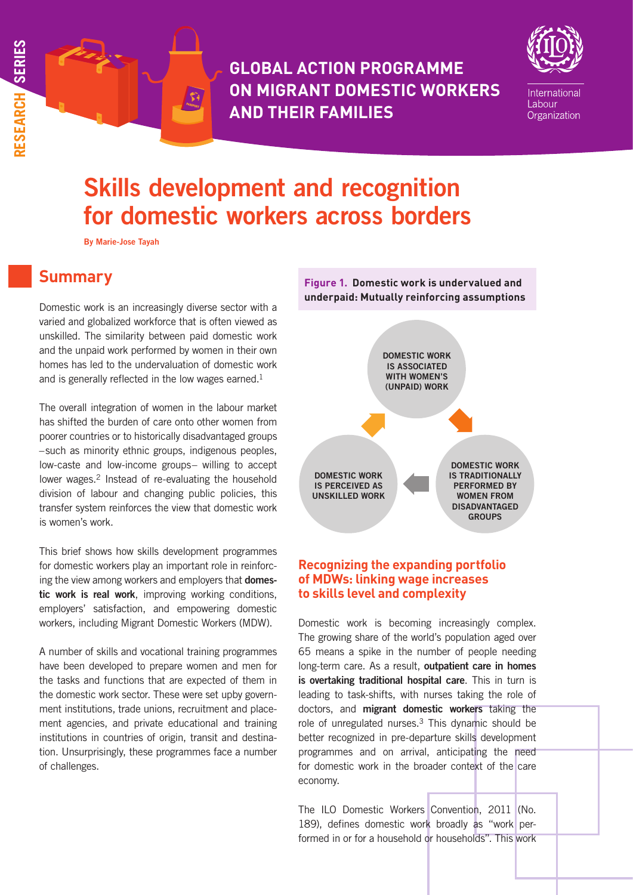**GLOBAL ACTION PROGRAMME ON MIGRANT DOMESTIC WORKERS AND THEIR FAMILIES**



International Labour Organization

# Skills development and recognition for domestic workers across borders

By Marie-Jose Tayah

# **Summary**

Domestic work is an increasingly diverse sector with a varied and globalized workforce that is often viewed as unskilled. The similarity between paid domestic work and the unpaid work performed by women in their own homes has led to the undervaluation of domestic work and is generally reflected in the low wages earned.<sup>1</sup>

The overall integration of women in the labour market has shifted the burden of care onto other women from poorer countries or to historically disadvantaged groups –such as minority ethnic groups, indigenous peoples, low-caste and low-income groups– willing to accept lower wages.<sup>2</sup> Instead of re-evaluating the household division of labour and changing public policies, this transfer system reinforces the view that domestic work is women's work.

This brief shows how skills development programmes for domestic workers play an important role in reinforcing the view among workers and employers that domestic work is real work, improving working conditions, employers' satisfaction, and empowering domestic workers, including Migrant Domestic Workers (MDW).

A number of skills and vocational training programmes have been developed to prepare women and men for the tasks and functions that are expected of them in the domestic work sector. These were set upby government institutions, trade unions, recruitment and placement agencies, and private educational and training institutions in countries of origin, transit and destination. Unsurprisingly, these programmes face a number of challenges.



# **Recognizing the expanding portfolio of MDWs: linking wage increases to skills level and complexity**

Domestic work is becoming increasingly complex. The growing share of the world's population aged over 65 means a spike in the number of people needing long-term care. As a result, outpatient care in homes is overtaking traditional hospital care. This in turn is leading to task-shifts, with nurses taking the role of doctors, and migrant domestic workers taking the role of unregulated nurses.3 This dynamic should be better recognized in pre-departure skills development programmes and on arrival, anticipating the need for domestic work in the broader context of the care economy.

The ILO Domestic Workers Convention, 2011 (No. 189), defines domestic work broadly as "work performed in or for a household or households". This work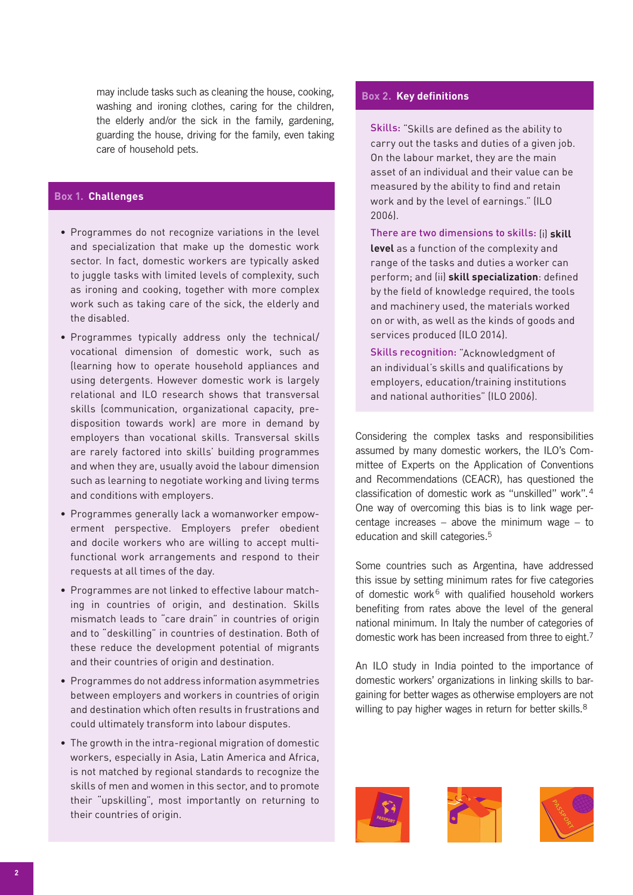may include tasks such as cleaning the house, cooking, washing and ironing clothes, caring for the children, the elderly and/or the sick in the family, gardening, guarding the house, driving for the family, even taking care of household pets.

# **Box 1. Challenges**

- Programmes do not recognize variations in the level and specialization that make up the domestic work sector. In fact, domestic workers are typically asked to juggle tasks with limited levels of complexity, such as ironing and cooking, together with more complex work such as taking care of the sick, the elderly and the disabled.
- Programmes typically address only the technical/ vocational dimension of domestic work, such as (learning how to operate household appliances and using detergents. However domestic work is largely relational and ILO research shows that transversal skills (communication, organizational capacity, predisposition towards work) are more in demand by employers than vocational skills. Transversal skills are rarely factored into skills' building programmes and when they are, usually avoid the labour dimension such as learning to negotiate working and living terms and conditions with employers.
- Programmes generally lack a womanworker empowerment perspective. Employers prefer obedient and docile workers who are willing to accept multifunctional work arrangements and respond to their requests at all times of the day.
- Programmes are not linked to effective labour matching in countries of origin, and destination. Skills mismatch leads to "care drain" in countries of origin and to "deskilling" in countries of destination. Both of these reduce the development potential of migrants and their countries of origin and destination.
- Programmes do not address information asymmetries between employers and workers in countries of origin and destination which often results in frustrations and could ultimately transform into labour disputes.
- The growth in the intra-regional migration of domestic workers, especially in Asia, Latin America and Africa, is not matched by regional standards to recognize the skills of men and women in this sector, and to promote their "upskilling", most importantly on returning to their countries of origin.

#### **Box 2. Key definitions**

Skills: "Skills are defined as the ability to carry out the tasks and duties of a given job. On the labour market, they are the main asset of an individual and their value can be measured by the ability to find and retain work and by the level of earnings." (ILO 2006).

There are two dimensions to skills: (i) **skill** 

**level** as a function of the complexity and range of the tasks and duties a worker can perform; and (ii) **skill specialization**: defined by the field of knowledge required, the tools and machinery used, the materials worked on or with, as well as the kinds of goods and services produced (ILO 2014).

Skills recognition: "Acknowledgment of an individual's skills and qualifications by employers, education/training institutions and national authorities" (ILO 2006).

Considering the complex tasks and responsibilities assumed by many domestic workers, the ILO's Committee of Experts on the Application of Conventions and Recommendations (CEACR), has questioned the classification of domestic work as "unskilled" work".4 One way of overcoming this bias is to link wage percentage increases – above the minimum wage – to education and skill categories.5

Some countries such as Argentina, have addressed this issue by setting minimum rates for five categories of domestic work<sup>6</sup> with qualified household workers benefiting from rates above the level of the general national minimum. In Italy the number of categories of domestic work has been increased from three to eight.7

An ILO study in India pointed to the importance of domestic workers' organizations in linking skills to bargaining for better wages as otherwise employers are not willing to pay higher wages in return for better skills.<sup>8</sup>





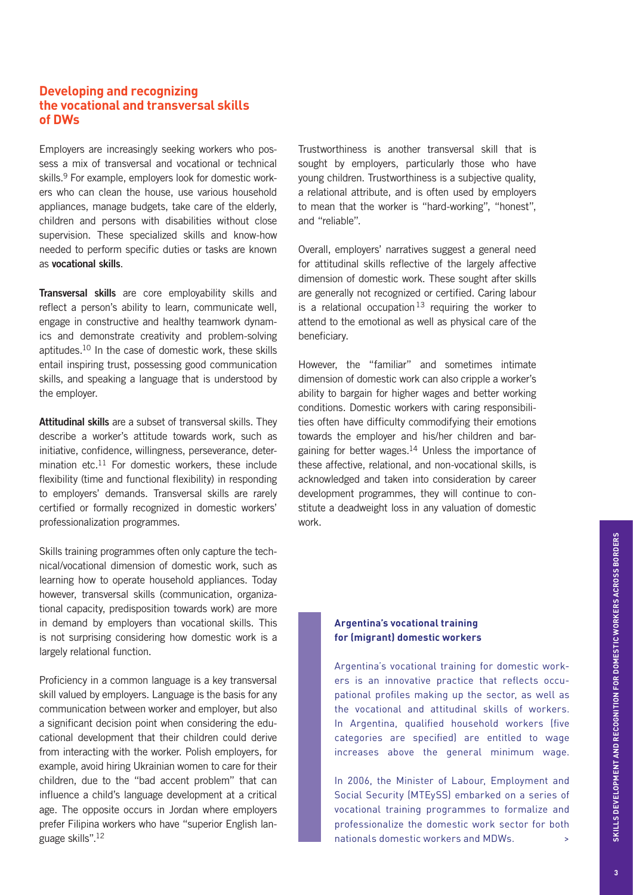# **Developing and recognizing the vocational and transversal skills of DWs**

Employers are increasingly seeking workers who possess a mix of transversal and vocational or technical skills.<sup>9</sup> For example, employers look for domestic workers who can clean the house, use various household appliances, manage budgets, take care of the elderly, children and persons with disabilities without close supervision. These specialized skills and know-how needed to perform specific duties or tasks are known as vocational skills.

Transversal skills are core employability skills and reflect a person's ability to learn, communicate well, engage in constructive and healthy teamwork dynamics and demonstrate creativity and problem-solving aptitudes.10 In the case of domestic work, these skills entail inspiring trust, possessing good communication skills, and speaking a language that is understood by the employer.

Attitudinal skills are a subset of transversal skills. They describe a worker's attitude towards work, such as initiative, confidence, willingness, perseverance, determination etc.<sup>11</sup> For domestic workers, these include flexibility (time and functional flexibility) in responding to employers' demands. Transversal skills are rarely certified or formally recognized in domestic workers' professionalization programmes.

Skills training programmes often only capture the technical/vocational dimension of domestic work, such as learning how to operate household appliances. Today however, transversal skills (communication, organizational capacity, predisposition towards work) are more in demand by employers than vocational skills. This is not surprising considering how domestic work is a largely relational function.

Proficiency in a common language is a key transversal skill valued by employers. Language is the basis for any communication between worker and employer, but also a significant decision point when considering the educational development that their children could derive from interacting with the worker. Polish employers, for example, avoid hiring Ukrainian women to care for their children, due to the "bad accent problem" that can influence a child's language development at a critical age. The opposite occurs in Jordan where employers prefer Filipina workers who have "superior English language skills".12

Trustworthiness is another transversal skill that is sought by employers, particularly those who have young children. Trustworthiness is a subjective quality, a relational attribute, and is often used by employers to mean that the worker is "hard-working", "honest", and "reliable".

Overall, employers' narratives suggest a general need for attitudinal skills reflective of the largely affective dimension of domestic work. These sought after skills are generally not recognized or certified. Caring labour is a relational occupation<sup>13</sup> requiring the worker to attend to the emotional as well as physical care of the beneficiary.

However, the "familiar" and sometimes intimate dimension of domestic work can also cripple a worker's ability to bargain for higher wages and better working conditions. Domestic workers with caring responsibilities often have difficulty commodifying their emotions towards the employer and his/her children and bargaining for better wages.14 Unless the importance of these affective, relational, and non-vocational skills, is acknowledged and taken into consideration by career development programmes, they will continue to constitute a deadweight loss in any valuation of domestic work.

### **Argentina's vocational training for (migrant) domestic workers**

Argentina's vocational training for domestic workers is an innovative practice that reflects occupational profiles making up the sector, as well as the vocational and attitudinal skills of workers. In Argentina, qualified household workers (five categories are specified) are entitled to wage increases above the general minimum wage.

In 2006, the Minister of Labour, Employment and Social Security (MTEySS) embarked on a series of vocational training programmes to formalize and professionalize the domestic work sector for both nationals domestic workers and MDWs.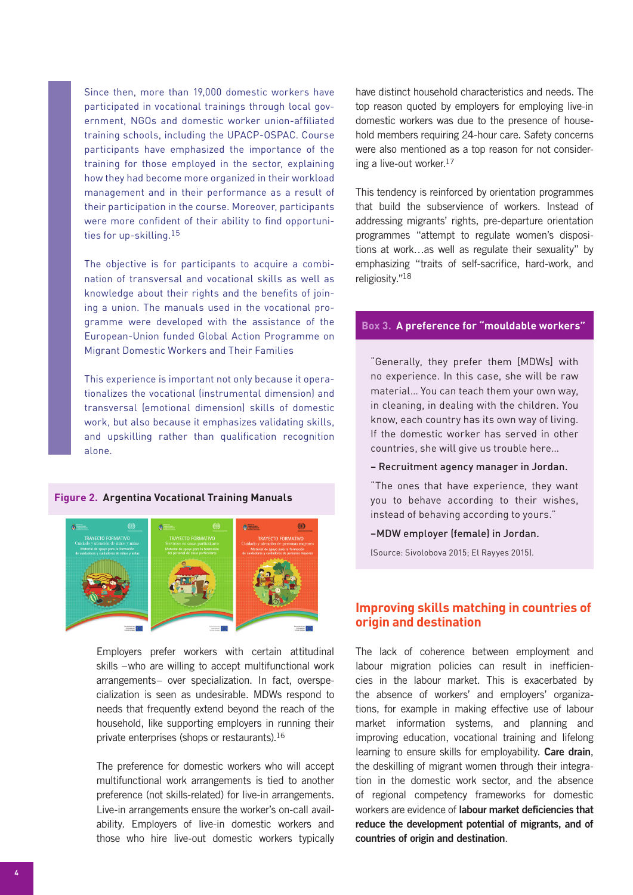Since then, more than 19,000 domestic workers have participated in vocational trainings through local government, NGOs and domestic worker union-affiliated training schools, including the UPACP-OSPAC. Course participants have emphasized the importance of the training for those employed in the sector, explaining how they had become more organized in their workload management and in their performance as a result of their participation in the course. Moreover, participants were more confident of their ability to find opportunities for up-skilling.<sup>15</sup>

The objective is for participants to acquire a combination of transversal and vocational skills as well as knowledge about their rights and the benefits of joining a union. The manuals used in the vocational programme were developed with the assistance of the European-Union funded Global Action Programme on Migrant Domestic Workers and Their Families

This experience is important not only because it operationalizes the vocational (instrumental dimension) and transversal (emotional dimension) skills of domestic work, but also because it emphasizes validating skills, and upskilling rather than qualification recognition alone.

#### **Figure 2. Argentina Vocational Training Manuals**



Employers prefer workers with certain attitudinal skills –who are willing to accept multifunctional work arrangements– over specialization. In fact, overspecialization is seen as undesirable. MDWs respond to needs that frequently extend beyond the reach of the household, like supporting employers in running their private enterprises (shops or restaurants).16

The preference for domestic workers who will accept multifunctional work arrangements is tied to another preference (not skills-related) for live-in arrangements. Live-in arrangements ensure the worker's on-call availability. Employers of live-in domestic workers and those who hire live-out domestic workers typically

have distinct household characteristics and needs. The top reason quoted by employers for employing live-in domestic workers was due to the presence of household members requiring 24-hour care. Safety concerns were also mentioned as a top reason for not considering a live-out worker.17

This tendency is reinforced by orientation programmes that build the subservience of workers. Instead of addressing migrants' rights, pre-departure orientation programmes "attempt to regulate women's dispositions at work…as well as regulate their sexuality" by emphasizing "traits of self-sacrifice, hard-work, and religiosity."18

#### **Box 3. A preference for "mouldable workers"**

"Generally, they prefer them [MDWs] with no experience. In this case, she will be raw material… You can teach them your own way, in cleaning, in dealing with the children. You know, each country has its own way of living. If the domestic worker has served in other countries, she will give us trouble here…

– Recruitment agency manager in Jordan.

"The ones that have experience, they want you to behave according to their wishes, instead of behaving according to yours."

–MDW employer (female) in Jordan.

(Source: Sivolobova 2015; El Rayyes 2015).

# **Improving skills matching in countries of origin and destination**

The lack of coherence between employment and labour migration policies can result in inefficiencies in the labour market. This is exacerbated by the absence of workers' and employers' organizations, for example in making effective use of labour market information systems, and planning and improving education, vocational training and lifelong learning to ensure skills for employability. Care drain, the deskilling of migrant women through their integration in the domestic work sector, and the absence of regional competency frameworks for domestic workers are evidence of labour market deficiencies that reduce the development potential of migrants, and of countries of origin and destination.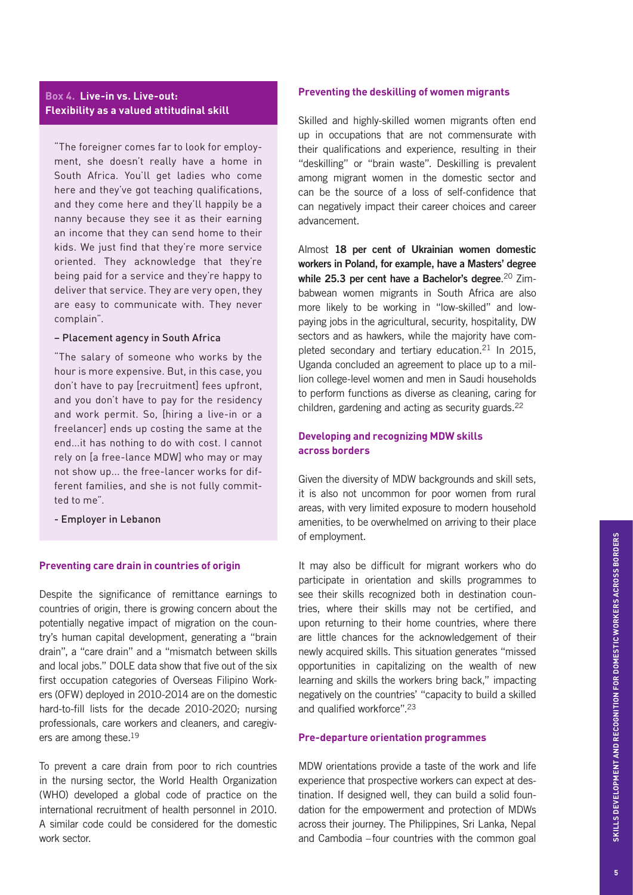### **Box 4. Live-in vs. Live-out: Flexibility as a valued attitudinal skill**

"The foreigner comes far to look for employment, she doesn't really have a home in South Africa. You'll get ladies who come here and they've got teaching qualifications, and they come here and they'll happily be a nanny because they see it as their earning an income that they can send home to their kids. We just find that they're more service oriented. They acknowledge that they're being paid for a service and they're happy to deliver that service. They are very open, they are easy to communicate with. They never complain".

#### – Placement agency in South Africa

"The salary of someone who works by the hour is more expensive. But, in this case, you don't have to pay [recruitment] fees upfront, and you don't have to pay for the residency and work permit. So, [hiring a live-in or a freelancer] ends up costing the same at the end...it has nothing to do with cost. I cannot rely on [a free-lance MDW] who may or may not show up... the free-lancer works for different families, and she is not fully committed to me".

- Employer in Lebanon

#### **Preventing care drain in countries of origin**

Despite the significance of remittance earnings to countries of origin, there is growing concern about the potentially negative impact of migration on the country's human capital development, generating a "brain drain", a "care drain" and a "mismatch between skills and local jobs." DOLE data show that five out of the six first occupation categories of Overseas Filipino Workers (OFW) deployed in 2010-2014 are on the domestic hard-to-fill lists for the decade 2010-2020; nursing professionals, care workers and cleaners, and caregivers are among these.19

To prevent a care drain from poor to rich countries in the nursing sector, the World Health Organization (WHO) developed a global code of practice on the international recruitment of health personnel in 2010. A similar code could be considered for the domestic work sector.

#### **Preventing the deskilling of women migrants**

Skilled and highly-skilled women migrants often end up in occupations that are not commensurate with their qualifications and experience, resulting in their "deskilling" or "brain waste". Deskilling is prevalent among migrant women in the domestic sector and can be the source of a loss of self-confidence that can negatively impact their career choices and career advancement.

Almost 18 per cent of Ukrainian women domestic workers in Poland, for example, have a Masters' degree while 25.3 per cent have a Bachelor's degree.<sup>20</sup> Zimbabwean women migrants in South Africa are also more likely to be working in "low-skilled" and lowpaying jobs in the agricultural, security, hospitality, DW sectors and as hawkers, while the majority have completed secondary and tertiary education.21 In 2015, Uganda concluded an agreement to place up to a million college-level women and men in Saudi households to perform functions as diverse as cleaning, caring for children, gardening and acting as security guards.<sup>22</sup>

# **Developing and recognizing MDW skills across borders**

Given the diversity of MDW backgrounds and skill sets, it is also not uncommon for poor women from rural areas, with very limited exposure to modern household amenities, to be overwhelmed on arriving to their place of employment.

It may also be difficult for migrant workers who do participate in orientation and skills programmes to see their skills recognized both in destination countries, where their skills may not be certified, and upon returning to their home countries, where there are little chances for the acknowledgement of their newly acquired skills. This situation generates "missed opportunities in capitalizing on the wealth of new learning and skills the workers bring back," impacting negatively on the countries' "capacity to build a skilled and qualified workforce".23

#### **Pre-departure orientation programmes**

MDW orientations provide a taste of the work and life experience that prospective workers can expect at destination. If designed well, they can build a solid foundation for the empowerment and protection of MDWs across their journey. The Philippines, Sri Lanka, Nepal and Cambodia –four countries with the common goal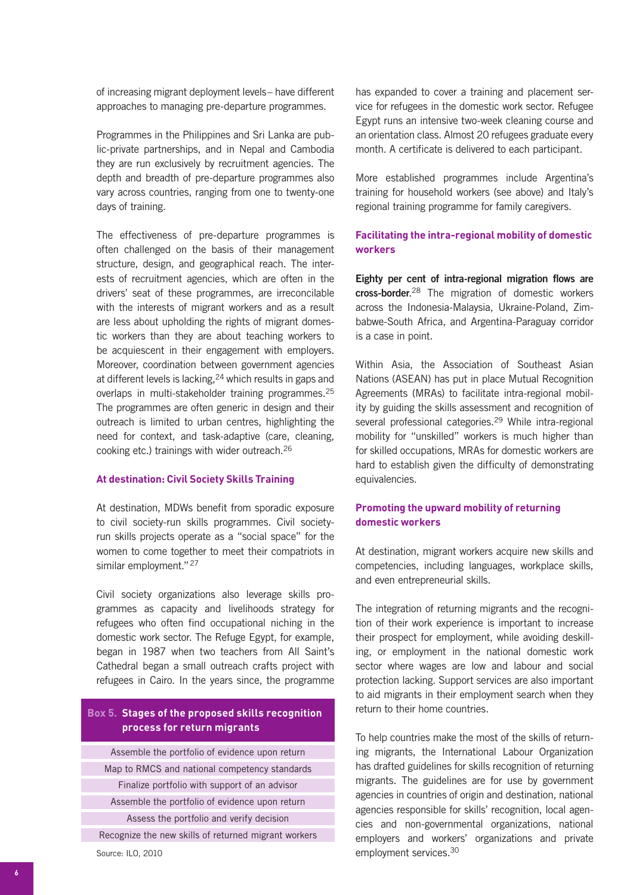of increasing migrant deployment levels– have different approaches to managing pre-departure programmes.

Programmes in the Philippines and Sri Lanka are public-private partnerships, and in Nepal and Cambodia they are run exclusively by recruitment agencies. The depth and breadth of pre-departure programmes also vary across countries, ranging from one to twenty-one days of training.

The effectiveness of pre-departure programmes is often challenged on the basis of their management structure, design, and geographical reach. The interests of recruitment agencies, which are often in the drivers' seat of these programmes, are irreconcilable with the interests of migrant workers and as a result are less about upholding the rights of migrant domestic workers than they are about teaching workers to be acquiescent in their engagement with employers. Moreover, coordination between government agencies at different levels is lacking, <sup>24</sup> which results in gaps and overlaps in multi-stakeholder training programmes.25 The programmes are often generic in design and their outreach is limited to urban centres, highlighting the need for context, and task-adaptive (care, cleaning, cooking etc.) trainings with wider outreach.26

#### **At destination: Civil Society Skills Training**

At destination, MDWs benefit from sporadic exposure to civil society-run skills programmes. Civil societyrun skills projects operate as a "social space" for the women to come together to meet their compatriots in similar employment."<sup>27</sup>

Civil society organizations also leverage skills programmes as capacity and livelihoods strategy for refugees who often find occupational niching in the domestic work sector. The Refuge Egypt, for example, began in 1987 when two teachers from All Saint's Cathedral began a small outreach crafts project with refugees in Cairo. In the years since, the programme

### **Box 5. Stages of the proposed skills recognition process for return migrants**

Assemble the portfolio of evidence upon return Map to RMCS and national competency standards Finalize portfolio with support of an advisor Assemble the portfolio of evidence upon return Assess the portfolio and verify decision Recognize the new skills of returned migrant workers

Source: ILO, 2010

has expanded to cover a training and placement service for refugees in the domestic work sector. Refugee Egypt runs an intensive two-week cleaning course and an orientation class. Almost 20 refugees graduate every month. A certificate is delivered to each participant.

More established programmes include Argentina's training for household workers (see above) and Italy's regional training programme for family caregivers.

#### **Facilitating the intra-regional mobility of domestic workers**

Eighty per cent of intra-regional migration flows are cross-border.<sup>28</sup> The migration of domestic workers across the Indonesia-Malaysia, Ukraine-Poland, Zimbabwe-South Africa, and Argentina-Paraguay corridor is a case in point.

Within Asia, the Association of Southeast Asian Nations (ASEAN) has put in place Mutual Recognition Agreements (MRAs) to facilitate intra-regional mobility by guiding the skills assessment and recognition of several professional categories.29 While intra-regional mobility for "unskilled" workers is much higher than for skilled occupations, MRAs for domestic workers are hard to establish given the difficulty of demonstrating equivalencies.

### **Promoting the upward mobility of returning domestic workers**

At destination, migrant workers acquire new skills and competencies, including languages, workplace skills, and even entrepreneurial skills.

The integration of returning migrants and the recognition of their work experience is important to increase their prospect for employment, while avoiding deskilling, or employment in the national domestic work sector where wages are low and labour and social protection lacking. Support services are also important to aid migrants in their employment search when they return to their home countries.

To help countries make the most of the skills of returning migrants, the International Labour Organization has drafted guidelines for skills recognition of returning migrants. The guidelines are for use by government agencies in countries of origin and destination, national agencies responsible for skills' recognition, local agencies and non-governmental organizations, national employers and workers' organizations and private employment services.30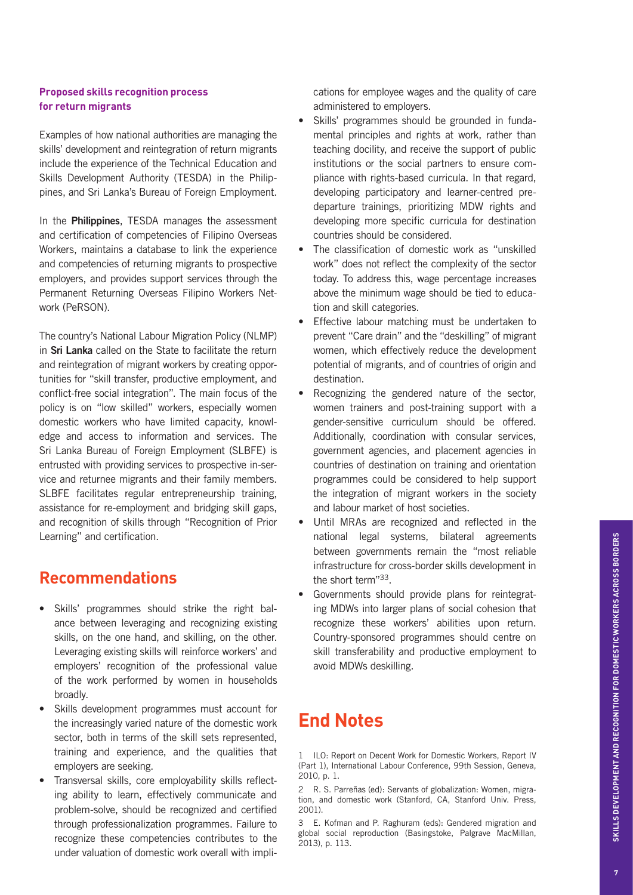#### **Proposed skills recognition process for return migrants**

Examples of how national authorities are managing the skills' development and reintegration of return migrants include the experience of the Technical Education and Skills Development Authority (TESDA) in the Philippines, and Sri Lanka's Bureau of Foreign Employment.

In the **Philippines**, TESDA manages the assessment and certification of competencies of Filipino Overseas Workers, maintains a database to link the experience and competencies of returning migrants to prospective employers, and provides support services through the Permanent Returning Overseas Filipino Workers Network (PeRSON).

The country's National Labour Migration Policy (NLMP) in Sri Lanka called on the State to facilitate the return and reintegration of migrant workers by creating opportunities for "skill transfer, productive employment, and conflict-free social integration". The main focus of the policy is on "low skilled" workers, especially women domestic workers who have limited capacity, knowledge and access to information and services. The Sri Lanka Bureau of Foreign Employment (SLBFE) is entrusted with providing services to prospective in-service and returnee migrants and their family members. SLBFE facilitates regular entrepreneurship training, assistance for re-employment and bridging skill gaps, and recognition of skills through "Recognition of Prior Learning" and certification.

# **Recommendations**

- Skills' programmes should strike the right balance between leveraging and recognizing existing skills, on the one hand, and skilling, on the other. Leveraging existing skills will reinforce workers' and employers' recognition of the professional value of the work performed by women in households broadly.
- Skills development programmes must account for the increasingly varied nature of the domestic work sector, both in terms of the skill sets represented, training and experience, and the qualities that employers are seeking.
- Transversal skills, core employability skills reflecting ability to learn, effectively communicate and problem-solve, should be recognized and certified through professionalization programmes. Failure to recognize these competencies contributes to the under valuation of domestic work overall with impli-

cations for employee wages and the quality of care administered to employers.

- Skills' programmes should be grounded in fundamental principles and rights at work, rather than teaching docility, and receive the support of public institutions or the social partners to ensure compliance with rights-based curricula. In that regard, developing participatory and learner-centred predeparture trainings, prioritizing MDW rights and developing more specific curricula for destination countries should be considered.
- The classification of domestic work as "unskilled work" does not reflect the complexity of the sector today. To address this, wage percentage increases above the minimum wage should be tied to education and skill categories.
- Effective labour matching must be undertaken to prevent "Care drain" and the "deskilling" of migrant women, which effectively reduce the development potential of migrants, and of countries of origin and destination.
- Recognizing the gendered nature of the sector, women trainers and post-training support with a gender-sensitive curriculum should be offered. Additionally, coordination with consular services, government agencies, and placement agencies in countries of destination on training and orientation programmes could be considered to help support the integration of migrant workers in the society and labour market of host societies.
- Until MRAs are recognized and reflected in the national legal systems, bilateral agreements between governments remain the "most reliable infrastructure for cross-border skills development in the short term"33.
- Governments should provide plans for reintegrating MDWs into larger plans of social cohesion that recognize these workers' abilities upon return. Country-sponsored programmes should centre on skill transferability and productive employment to avoid MDWs deskilling.

# **End Notes**

1 ILO: Report on Decent Work for Domestic Workers, Report IV (Part 1), International Labour Conference, 99th Session, Geneva, 2010, p. 1.

2 R. S. Parreñas (ed): Servants of globalization: Women, migration, and domestic work (Stanford, CA, Stanford Univ. Press, 2001).

3 E. Kofman and P. Raghuram (eds): Gendered migration and global social reproduction (Basingstoke, Palgrave MacMillan, 2013), p. 113.